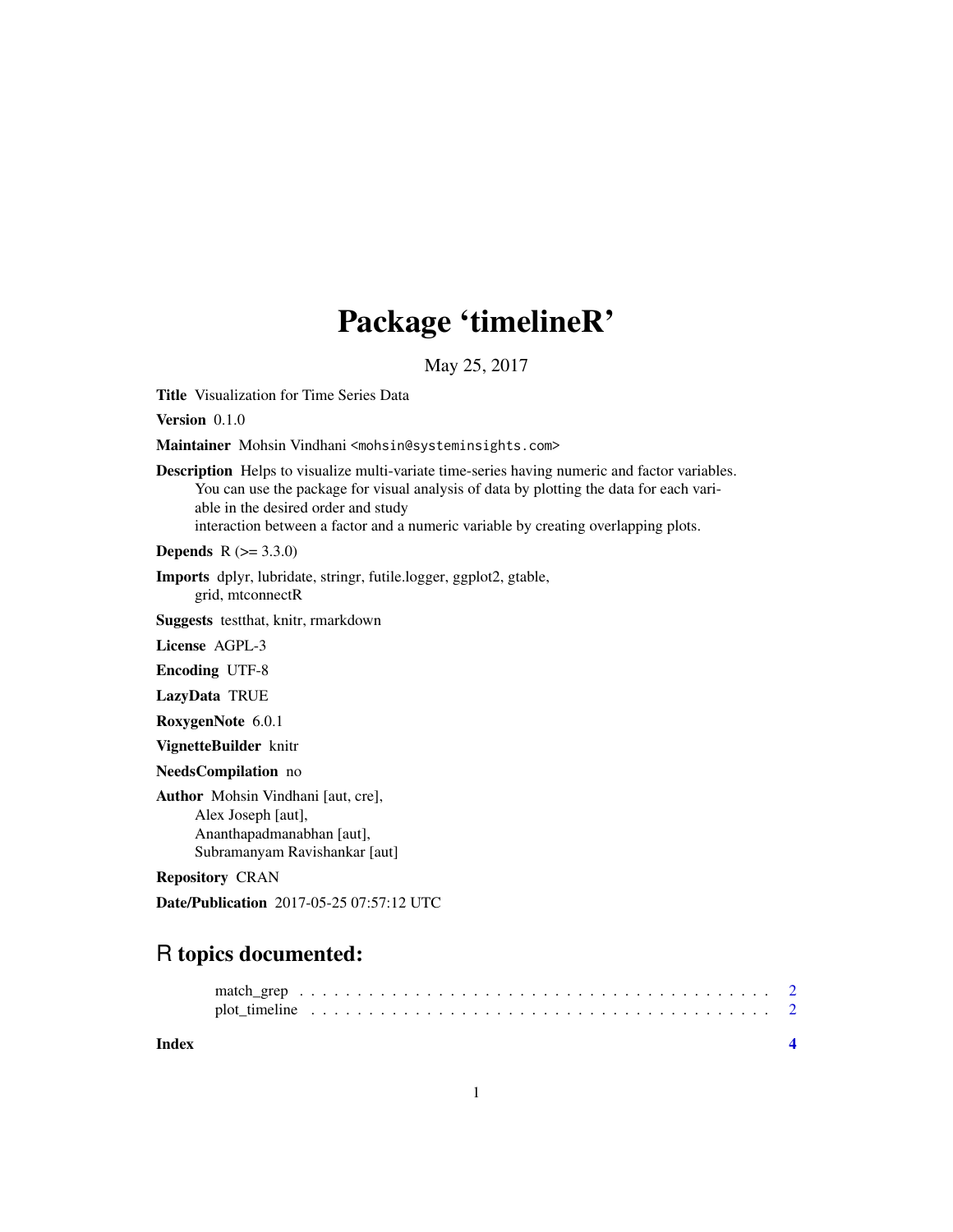# Package 'timelineR'

May 25, 2017

Title Visualization for Time Series Data

Version 0.1.0

Maintainer Mohsin Vindhani <mohsin@systeminsights.com>

Description Helps to visualize multi-variate time-series having numeric and factor variables. You can use the package for visual analysis of data by plotting the data for each variable in the desired order and study interaction between a factor and a numeric variable by creating overlapping plots.

**Depends**  $R (= 3.3.0)$ 

Imports dplyr, lubridate, stringr, futile.logger, ggplot2, gtable, grid, mtconnectR

Suggests testthat, knitr, rmarkdown

License AGPL-3

Encoding UTF-8

LazyData TRUE

RoxygenNote 6.0.1

VignetteBuilder knitr

NeedsCompilation no

Author Mohsin Vindhani [aut, cre], Alex Joseph [aut], Ananthapadmanabhan [aut], Subramanyam Ravishankar [aut]

Repository CRAN

Date/Publication 2017-05-25 07:57:12 UTC

# R topics documented:

**Index** [4](#page-3-0)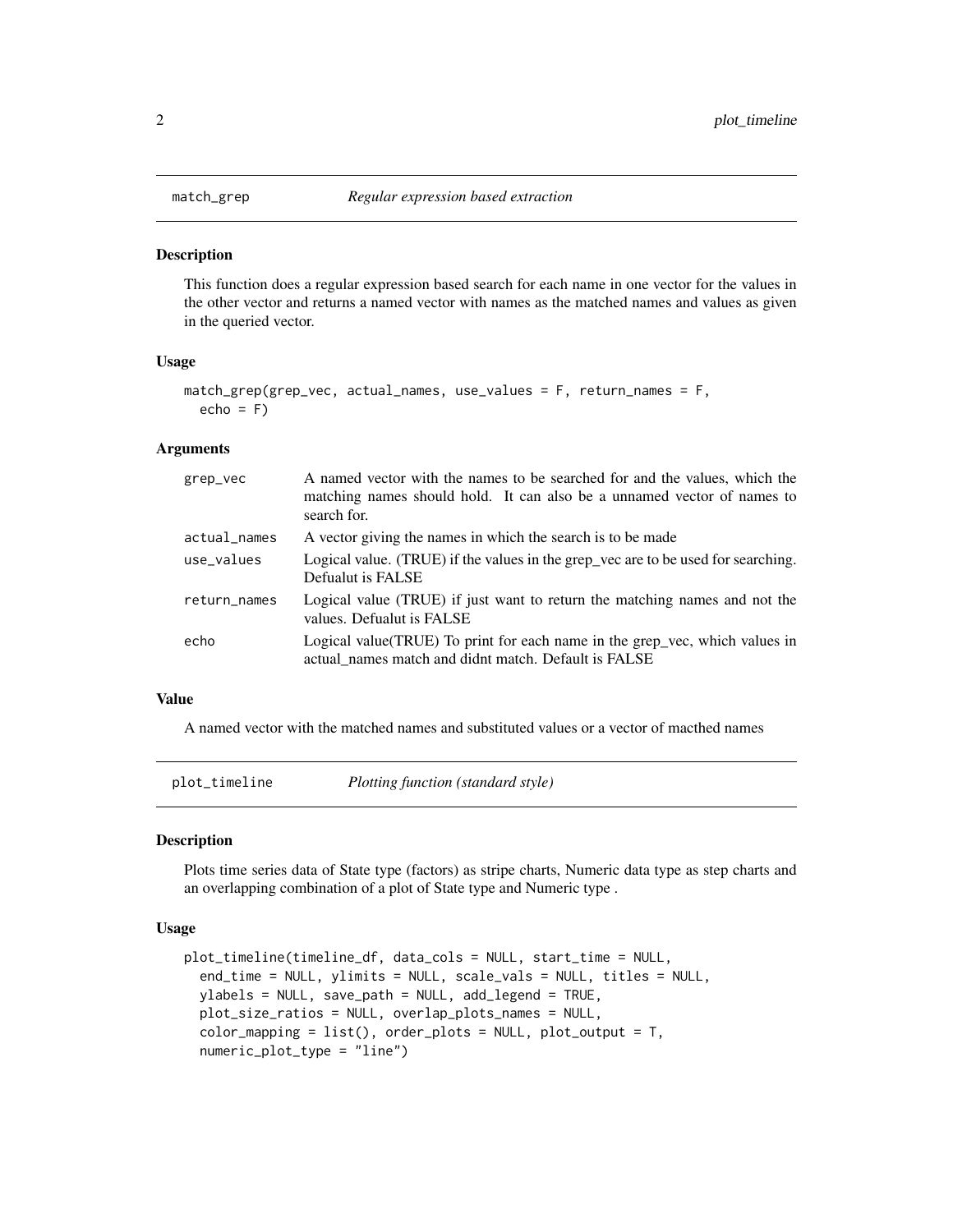#### Description

This function does a regular expression based search for each name in one vector for the values in the other vector and returns a named vector with names as the matched names and values as given in the queried vector.

#### Usage

```
match_grep(grep_vec, actual_names, use_values = F, return_names = F,
 echo = F)
```
#### Arguments

| grep_vec     | A named vector with the names to be searched for and the values, which the<br>matching names should hold. It can also be a unnamed vector of names to<br>search for. |
|--------------|----------------------------------------------------------------------------------------------------------------------------------------------------------------------|
| actual_names | A vector giving the names in which the search is to be made                                                                                                          |
| use_values   | Logical value. (TRUE) if the values in the grep_vec are to be used for searching.<br>Defualut is FALSE                                                               |
| return_names | Logical value (TRUE) if just want to return the matching names and not the<br>values. Defualut is FALSE                                                              |
| echo         | Logical value (TRUE) To print for each name in the grep_vec, which values in<br>actual names match and didnt match. Default is FALSE                                 |

#### Value

A named vector with the matched names and substituted values or a vector of macthed names

plot\_timeline *Plotting function (standard style)*

#### Description

Plots time series data of State type (factors) as stripe charts, Numeric data type as step charts and an overlapping combination of a plot of State type and Numeric type .

#### Usage

```
plot_timeline(timeline_df, data_cols = NULL, start_time = NULL,
 end_time = NULL, ylimits = NULL, scale_vals = NULL, titles = NULL,
ylabels = NULL, save_path = NULL, add_legend = TRUE,
plot_size_ratios = NULL, overlap_plots_names = NULL,
color_mapping = list(), order_plots = NULL, plot_output = T,
 numeric_plot_type = "line")
```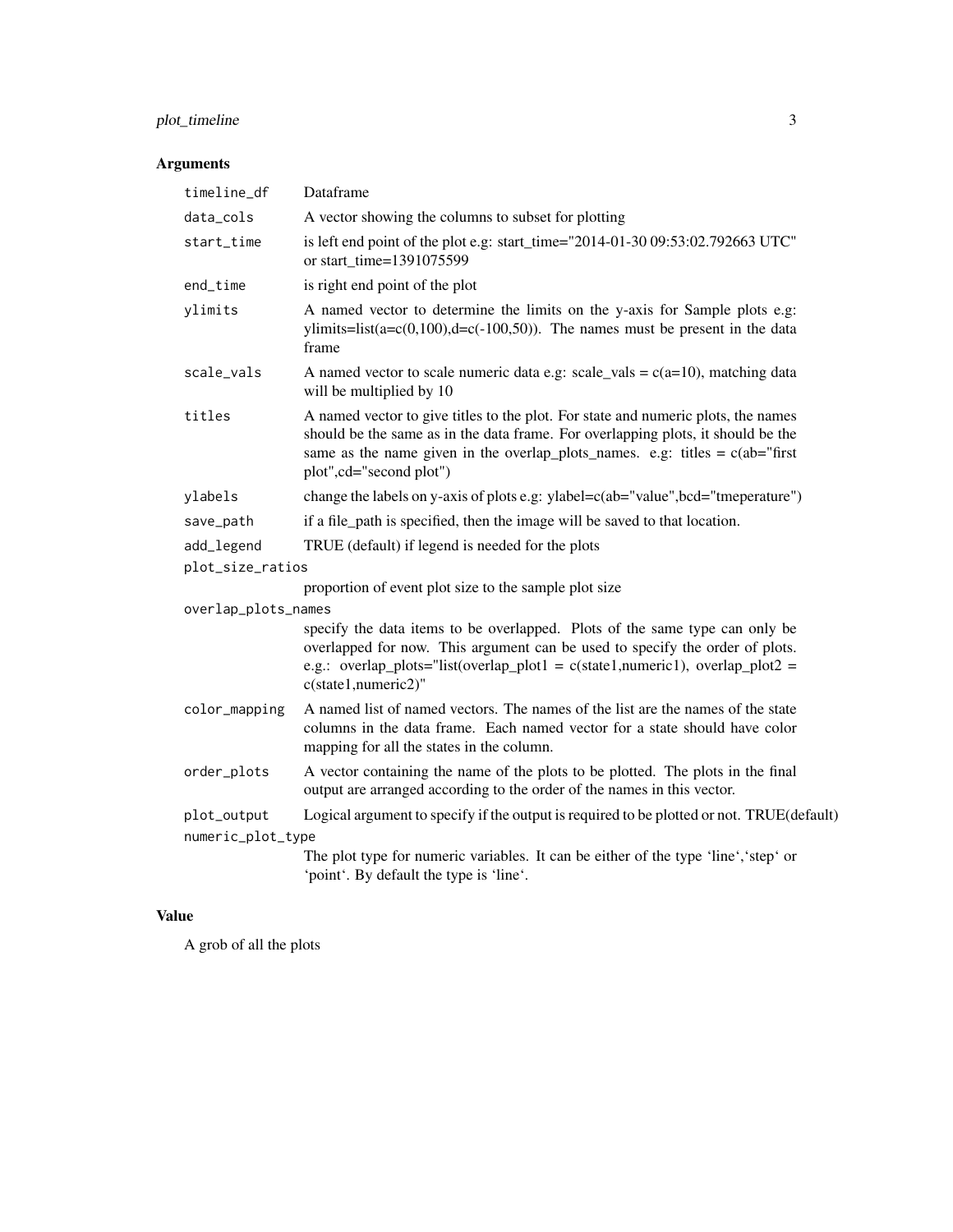### plot\_timeline 3

## Arguments

| timeline_df         | Dataframe                                                                                                                                                                                                                                                                           |
|---------------------|-------------------------------------------------------------------------------------------------------------------------------------------------------------------------------------------------------------------------------------------------------------------------------------|
| data_cols           | A vector showing the columns to subset for plotting                                                                                                                                                                                                                                 |
| start_time          | is left end point of the plot e.g: start_time="2014-01-30 09:53:02.792663 UTC"<br>or start time=1391075599                                                                                                                                                                          |
| end_time            | is right end point of the plot                                                                                                                                                                                                                                                      |
| ylimits             | A named vector to determine the limits on the y-axis for Sample plots e.g:<br>ylimits=list( $a = c(0,100)$ , $d = c(-100,50)$ ). The names must be present in the data<br>frame                                                                                                     |
| scale_vals          | A named vector to scale numeric data e.g: scale_vals = $c(a=10)$ , matching data<br>will be multiplied by 10                                                                                                                                                                        |
| titles              | A named vector to give titles to the plot. For state and numeric plots, the names<br>should be the same as in the data frame. For overlapping plots, it should be the<br>same as the name given in the overlap_plots_names. e.g: titles = $c(ab="first$<br>plot", cd="second plot") |
| ylabels             | change the labels on y-axis of plots e.g: ylabel=c(ab="value",bcd="tmeperature")                                                                                                                                                                                                    |
| save_path           | if a file_path is specified, then the image will be saved to that location.                                                                                                                                                                                                         |
| add_legend          | TRUE (default) if legend is needed for the plots                                                                                                                                                                                                                                    |
| plot_size_ratios    |                                                                                                                                                                                                                                                                                     |
|                     | proportion of event plot size to the sample plot size                                                                                                                                                                                                                               |
| overlap_plots_names |                                                                                                                                                                                                                                                                                     |
|                     | specify the data items to be overlapped. Plots of the same type can only be<br>overlapped for now. This argument can be used to specify the order of plots.<br>e.g.: overlap_plots="list(overlap_plot1 = c(state1,numeric1), overlap_plot2 =<br>c(state1,numeric2)"                 |
| color_mapping       | A named list of named vectors. The names of the list are the names of the state<br>columns in the data frame. Each named vector for a state should have color<br>mapping for all the states in the column.                                                                          |
| order_plots         | A vector containing the name of the plots to be plotted. The plots in the final<br>output are arranged according to the order of the names in this vector.                                                                                                                          |
| plot_output         | Logical argument to specify if the output is required to be plotted or not. TRUE(default)                                                                                                                                                                                           |
| numeric_plot_type   |                                                                                                                                                                                                                                                                                     |
|                     | The plot type for numeric variables. It can be either of the type 'line', 'step' or<br>'point'. By default the type is 'line'.                                                                                                                                                      |

#### Value

A grob of all the plots